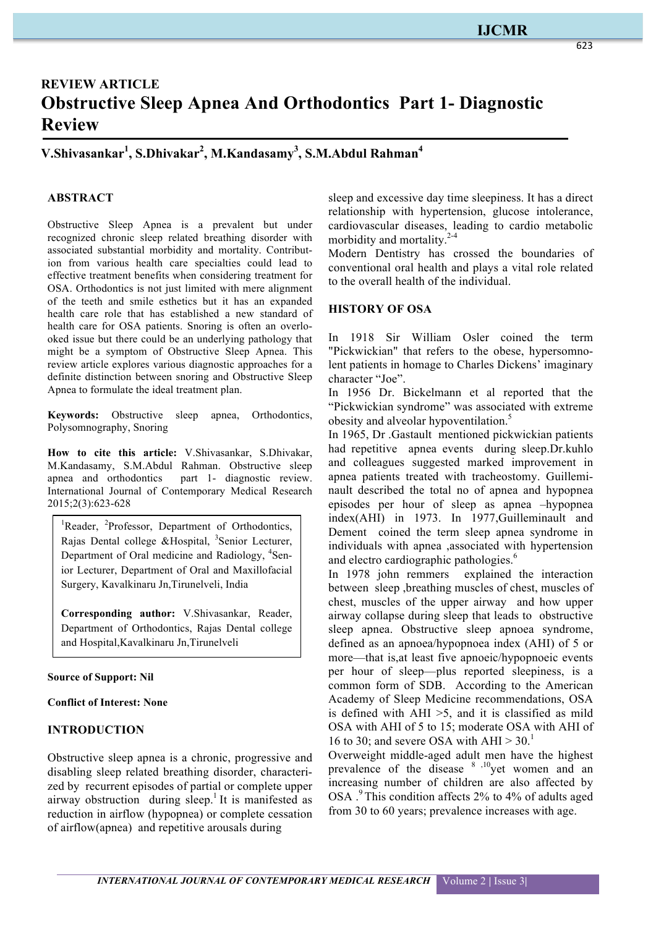## **IJCMR**

# **REVIEW ARTICLE Obstructive Sleep Apnea And Orthodontics Part 1- Diagnostic Review**

## **V.Shivasankar1 , S.Dhivakar2 , M.Kandasamy3 , S.M.Abdul Rahman<sup>4</sup>**

#### **ABSTRACT**

Obstructive Sleep Apnea is a prevalent but under recognized chronic sleep related breathing disorder with associated substantial morbidity and mortality. Contribution from various health care specialties could lead to effective treatment benefits when considering treatment for OSA. Orthodontics is not just limited with mere alignment of the teeth and smile esthetics but it has an expanded health care role that has established a new standard of health care for OSA patients. Snoring is often an overlooked issue but there could be an underlying pathology that might be a symptom of Obstructive Sleep Apnea. This review article explores various diagnostic approaches for a definite distinction between snoring and Obstructive Sleep Apnea to formulate the ideal treatment plan.

**Keywords:** Obstructive sleep apnea, Orthodontics, Polysomnography, Snoring

**How to cite this article:** V.Shivasankar, S.Dhivakar, M.Kandasamy, S.M.Abdul Rahman. Obstructive sleep apnea and orthodontics part 1- diagnostic review. International Journal of Contemporary Medical Research 2015;2(3):623-628

<sup>1</sup>Reader, <sup>2</sup>Professor, Department of Orthodontics, Rajas Dental college &Hospital, <sup>3</sup>Senior Lecturer, Department of Oral medicine and Radiology, <sup>4</sup>Senior Lecturer, Department of Oral and Maxillofacial Surgery, Kavalkinaru Jn,Tirunelveli, India

**Corresponding author:** V.Shivasankar, Reader, Department of Orthodontics, Rajas Dental college and Hospital,Kavalkinaru Jn,Tirunelveli

#### **Source of Support: Nil**

#### **Conflict of Interest: None**

#### **INTRODUCTION**

Obstructive sleep apnea is a chronic, progressive and disabling sleep related breathing disorder, characterized by recurrent episodes of partial or complete upper airway obstruction during sleep.<sup>1</sup> It is manifested as reduction in airflow (hypopnea) or complete cessation of airflow(apnea) and repetitive arousals during

sleep and excessive day time sleepiness. It has a direct relationship with hypertension, glucose intolerance, cardiovascular diseases, leading to cardio metabolic morbidity and mortality.<sup>2-4</sup>

Modern Dentistry has crossed the boundaries of conventional oral health and plays a vital role related to the overall health of the individual.

#### **HISTORY OF OSA**

In 1918 Sir William Osler coined the term "Pickwickian" that refers to the obese, hypersomnolent patients in homage to Charles Dickens' imaginary character "Joe".

In 1956 Dr. Bickelmann et al reported that the "Pickwickian syndrome" was associated with extreme obesity and alveolar hypoventilation.<sup>5</sup>

In 1965, Dr .Gastault mentioned pickwickian patients had repetitive apnea events during sleep.Dr.kuhlo and colleagues suggested marked improvement in apnea patients treated with tracheostomy. Guilleminault described the total no of apnea and hypopnea episodes per hour of sleep as apnea –hypopnea index(AHI) in 1973. In 1977,Guilleminault and Dement coined the term sleep apnea syndrome in individuals with apnea ,associated with hypertension and electro cardiographic pathologies.<sup>6</sup>

In 1978 john remmers explained the interaction between sleep ,breathing muscles of chest, muscles of chest, muscles of the upper airway and how upper airway collapse during sleep that leads to obstructive sleep apnea. Obstructive sleep apnoea syndrome, defined as an apnoea/hypopnoea index (AHI) of 5 or more—that is,at least five apnoeic/hypopnoeic events per hour of sleep—plus reported sleepiness, is a common form of SDB. According to the American Academy of Sleep Medicine recommendations, OSA is defined with  $AHI > 5$ , and it is classified as mild OSA with AHI of 5 to 15; moderate OSA with AHI of 16 to 30; and severe OSA with AHI  $> 30$ .<sup>1</sup>

Overweight middle-aged adult men have the highest prevalence of the disease  $8^{10}$  yet women and an increasing number of children are also affected by OSA .<sup>9</sup> This condition affects 2% to 4% of adults aged from 30 to 60 years; prevalence increases with age.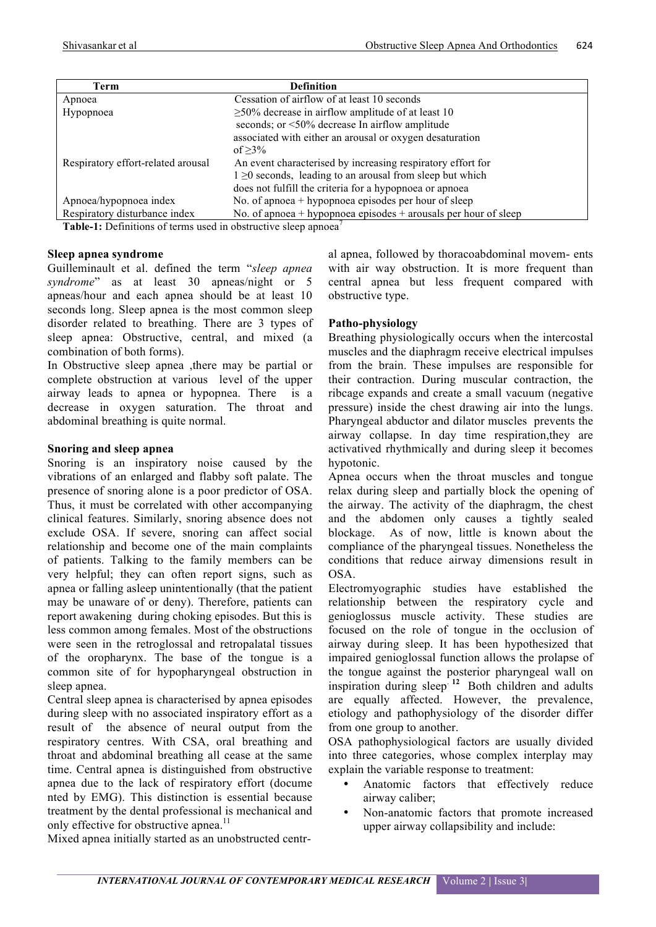| Term                                                                               | <b>Definition</b>                                               |
|------------------------------------------------------------------------------------|-----------------------------------------------------------------|
| Apnoea                                                                             | Cessation of airflow of at least 10 seconds                     |
| Hypopnoea                                                                          | $\geq$ 50% decrease in airflow amplitude of at least 10         |
|                                                                                    | seconds; or <50% decrease In airflow amplitude                  |
|                                                                                    | associated with either an arousal or oxygen desaturation        |
|                                                                                    | of $>3\%$                                                       |
| Respiratory effort-related arousal                                                 | An event characterised by increasing respiratory effort for     |
|                                                                                    | $1 \ge 0$ seconds, leading to an arousal from sleep but which   |
|                                                                                    | does not fulfill the criteria for a hypopnoea or apnoea         |
| Apnoea/hypopnoea index                                                             | No. of approved $+$ hypopnoea episodes per hour of sleep        |
| Respiratory disturbance index                                                      | No. of apnoea + hypopnoea episodes + arousals per hour of sleep |
| <b>Table-1:</b> Definitions of terms used in obstructive sleep apnoea <sup>*</sup> |                                                                 |

#### **Sleep apnea syndrome**

Guilleminault et al. defined the term "*sleep apnea syndrome*" as at least 30 apneas/night or 5 apneas/hour and each apnea should be at least 10 seconds long. Sleep apnea is the most common sleep disorder related to breathing. There are 3 types of sleep apnea: Obstructive, central, and mixed (a combination of both forms).

In Obstructive sleep apnea ,there may be partial or complete obstruction at various level of the upper airway leads to apnea or hypopnea. There is a decrease in oxygen saturation. The throat and abdominal breathing is quite normal.

#### **Snoring and sleep apnea**

Snoring is an inspiratory noise caused by the vibrations of an enlarged and flabby soft palate. The presence of snoring alone is a poor predictor of OSA. Thus, it must be correlated with other accompanying clinical features. Similarly, snoring absence does not exclude OSA. If severe, snoring can affect social relationship and become one of the main complaints of patients. Talking to the family members can be very helpful; they can often report signs, such as apnea or falling asleep unintentionally (that the patient may be unaware of or deny). Therefore, patients can report awakening during choking episodes. But this is less common among females. Most of the obstructions were seen in the retroglossal and retropalatal tissues of the oropharynx. The base of the tongue is a common site of for hypopharyngeal obstruction in sleep apnea.

Central sleep apnea is characterised by apnea episodes during sleep with no associated inspiratory effort as a result of the absence of neural output from the respiratory centres. With CSA, oral breathing and throat and abdominal breathing all cease at the same time. Central apnea is distinguished from obstructive apnea due to the lack of respiratory effort (docume nted by EMG). This distinction is essential because treatment by the dental professional is mechanical and only effective for obstructive apnea.<sup>11</sup>

Mixed apnea initially started as an unobstructed centr-

al apnea, followed by thoracoabdominal movem- ents with air way obstruction. It is more frequent than central apnea but less frequent compared with obstructive type.

#### **Patho-physiology**

Breathing physiologically occurs when the intercostal muscles and the diaphragm receive electrical impulses from the brain. These impulses are responsible for their contraction. During muscular contraction, the ribcage expands and create a small vacuum (negative pressure) inside the chest drawing air into the lungs. Pharyngeal abductor and dilator muscles prevents the airway collapse. In day time respiration,they are activatived rhythmically and during sleep it becomes hypotonic.

Apnea occurs when the throat muscles and tongue relax during sleep and partially block the opening of the airway. The activity of the diaphragm, the chest and the abdomen only causes a tightly sealed blockage. As of now, little is known about the compliance of the pharyngeal tissues. Nonetheless the conditions that reduce airway dimensions result in OSA.

Electromyographic studies have established the relationship between the respiratory cycle and genioglossus muscle activity. These studies are focused on the role of tongue in the occlusion of airway during sleep. It has been hypothesized that impaired genioglossal function allows the prolapse of the tongue against the posterior pharyngeal wall on inspiration during sleep<sup>12</sup> Both children and adults are equally affected. However, the prevalence, etiology and pathophysiology of the disorder differ from one group to another.

OSA pathophysiological factors are usually divided into three categories, whose complex interplay may explain the variable response to treatment:

- Anatomic factors that effectively reduce airway caliber;
- Non-anatomic factors that promote increased upper airway collapsibility and include: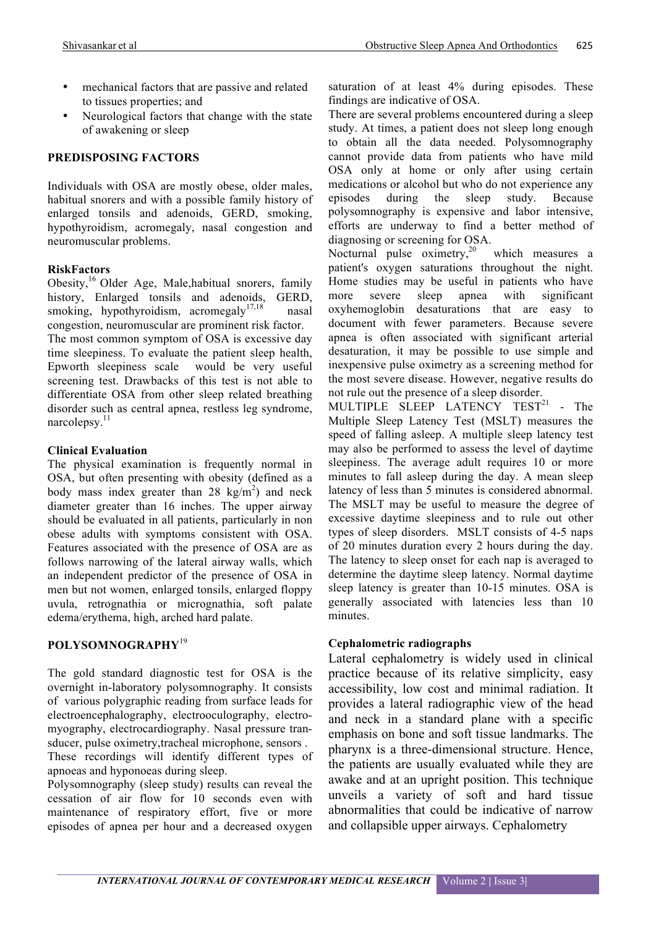- mechanical factors that are passive and related to tissues properties; and
- Neurological factors that change with the state of awakening or sleep

## **PREDISPOSING FACTORS**

Individuals with OSA are mostly obese, older males, habitual snorers and with a possible family history of enlarged tonsils and adenoids, GERD, smoking, hypothyroidism, acromegaly, nasal congestion and neuromuscular problems.

#### **RiskFactors**

Obesity,<sup>16</sup> Older Age, Male,habitual snorers, family history, Enlarged tonsils and adenoids, GERD, smoking, hypothyroidism, acromegaly<sup>17,18</sup> nasal congestion, neuromuscular are prominent risk factor. The most common symptom of OSA is excessive day time sleepiness. To evaluate the patient sleep health, Epworth sleepiness scale would be very useful screening test. Drawbacks of this test is not able to differentiate OSA from other sleep related breathing disorder such as central apnea, restless leg syndrome, narcolepsy. $11$ 

#### **Clinical Evaluation**

The physical examination is frequently normal in OSA, but often presenting with obesity (defined as a body mass index greater than 28  $\text{kg/m}^2$ ) and neck diameter greater than 16 inches. The upper airway should be evaluated in all patients, particularly in non obese adults with symptoms consistent with OSA. Features associated with the presence of OSA are as follows narrowing of the lateral airway walls, which an independent predictor of the presence of OSA in men but not women, enlarged tonsils, enlarged floppy uvula, retrognathia or micrognathia, soft palate edema/erythema, high, arched hard palate.

## **POLYSOMNOGRAPHY**<sup>19</sup>

The gold standard diagnostic test for OSA is the overnight in-laboratory polysomnography. It consists of various polygraphic reading from surface leads for electroencephalography, electrooculography, electromyography, electrocardiography. Nasal pressure transducer, pulse oximetry,tracheal microphone, sensors .

These recordings will identify different types of apnoeas and hyponoeas during sleep.

Polysomnography (sleep study) results can reveal the cessation of air flow for 10 seconds even with maintenance of respiratory effort, five or more episodes of apnea per hour and a decreased oxygen

saturation of at least 4% during episodes. These findings are indicative of OSA.

There are several problems encountered during a sleep study. At times, a patient does not sleep long enough to obtain all the data needed. Polysomnography cannot provide data from patients who have mild OSA only at home or only after using certain medications or alcohol but who do not experience any episodes during the sleep study. Because polysomnography is expensive and labor intensive, efforts are underway to find a better method of diagnosing or screening for OSA.

Nocturnal pulse oximetry,<sup>20</sup> which measures a patient's oxygen saturations throughout the night. Home studies may be useful in patients who have more severe sleep apnea with significant oxyhemoglobin desaturations that are easy to document with fewer parameters. Because severe apnea is often associated with significant arterial desaturation, it may be possible to use simple and inexpensive pulse oximetry as a screening method for the most severe disease. However, negative results do not rule out the presence of a sleep disorder.

MULTIPLE SLEEP LATENCY TEST<sup>21</sup> - The Multiple Sleep Latency Test (MSLT) measures the speed of falling asleep. A multiple sleep latency test may also be performed to assess the level of daytime sleepiness. The average adult requires 10 or more minutes to fall asleep during the day. A mean sleep latency of less than 5 minutes is considered abnormal. The MSLT may be useful to measure the degree of excessive daytime sleepiness and to rule out other types of sleep disorders. MSLT consists of 4-5 naps of 20 minutes duration every 2 hours during the day. The latency to sleep onset for each nap is averaged to determine the daytime sleep latency. Normal daytime sleep latency is greater than 10-15 minutes. OSA is generally associated with latencies less than 10 minutes.

## **Cephalometric radiographs**

Lateral cephalometry is widely used in clinical practice because of its relative simplicity, easy accessibility, low cost and minimal radiation. It provides a lateral radiographic view of the head and neck in a standard plane with a specific emphasis on bone and soft tissue landmarks. The pharynx is a three-dimensional structure. Hence, the patients are usually evaluated while they are awake and at an upright position. This technique unveils a variety of soft and hard tissue abnormalities that could be indicative of narrow and collapsible upper airways. Cephalometry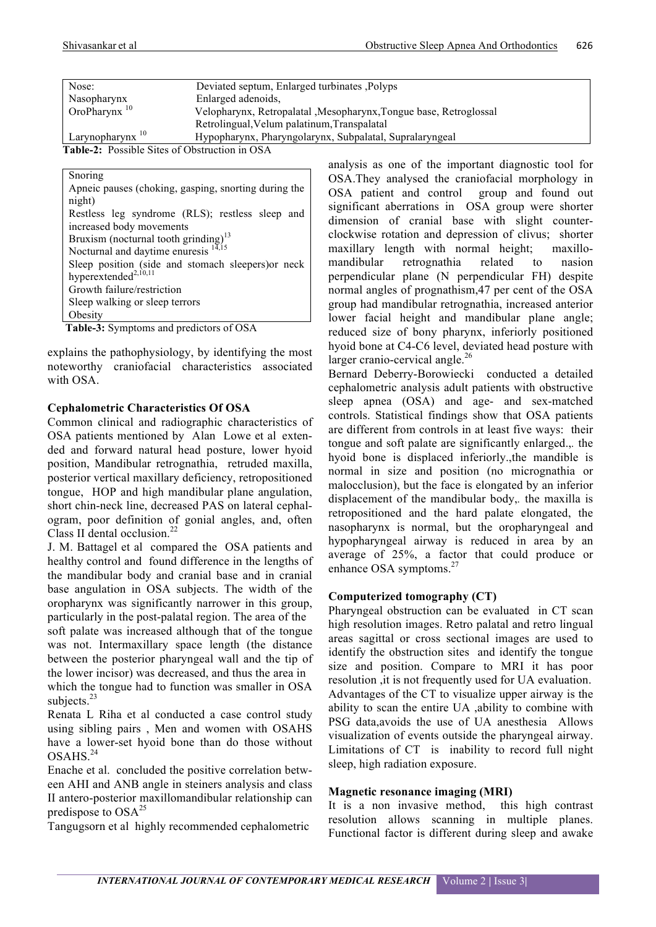| Nose:                                                | Deviated septum, Enlarged turbinates, Polyps                       |
|------------------------------------------------------|--------------------------------------------------------------------|
| Nasopharynx                                          | Enlarged adenoids,                                                 |
| OroPharynx <sup>10</sup>                             | Velopharynx, Retropalatal , Mesopharynx, Tongue base, Retroglossal |
|                                                      | Retrolingual, Velum palatinum, Transpalatal                        |
| Larynopharynx $10$                                   | Hypopharynx, Pharyngolarynx, Subpalatal, Supralaryngeal            |
| <b>Table-2:</b> Possible Sites of Obstruction in OSA |                                                                    |

#### Snoring Apneic pauses (choking, gasping, snorting during the night) Restless leg syndrome (RLS); restless sleep and increased body movements Bruxism (nocturnal tooth grinding)<sup>13</sup> Nocturnal and daytime enuresis <sup>14,15</sup> Sleep position (side and stomach sleepers)or neck hyperextended<sup>2,10,11</sup> Growth failure/restriction Sleep walking or sleep terrors **Obesity**

**Table-3:** Symptoms and predictors of OSA

explains the pathophysiology, by identifying the most noteworthy craniofacial characteristics associated with OSA.

#### **Cephalometric Characteristics Of OSA**

Common clinical and radiographic characteristics of OSA patients mentioned by Alan Lowe et al extended and forward natural head posture, lower hyoid position, Mandibular retrognathia, retruded maxilla, posterior vertical maxillary deficiency, retropositioned tongue, HOP and high mandibular plane angulation, short chin-neck line, decreased PAS on lateral cephalogram, poor definition of gonial angles, and, often Class II dental occlusion. 22

J. M. Battagel et al compared the OSA patients and healthy control and found difference in the lengths of the mandibular body and cranial base and in cranial base angulation in OSA subjects. The width of the oropharynx was significantly narrower in this group, particularly in the post-palatal region. The area of the soft palate was increased although that of the tongue was not. Intermaxillary space length (the distance between the posterior pharyngeal wall and the tip of the lower incisor) was decreased, and thus the area in which the tongue had to function was smaller in OSA subjects.<sup>23</sup>

Renata L Riha et al conducted a case control study using sibling pairs , Men and women with OSAHS have a lower-set hyoid bone than do those without OSAHS.<sup>24</sup>

Enache et al. concluded the positive correlation between AHI and ANB angle in steiners analysis and class II antero-posterior maxillomandibular relationship can predispose to  $OSA<sup>25</sup>$ 

Tangugsorn et al highly recommended cephalometric

analysis as one of the important diagnostic tool for OSA.They analysed the craniofacial morphology in OSA patient and control group and found out significant aberrations in OSA group were shorter dimension of cranial base with slight counterclockwise rotation and depression of clivus; shorter maxillary length with normal height; maxillomandibular retrognathia related to nasion perpendicular plane (N perpendicular FH) despite normal angles of prognathism,47 per cent of the OSA group had mandibular retrognathia, increased anterior lower facial height and mandibular plane angle; reduced size of bony pharynx, inferiorly positioned hyoid bone at C4-C6 level, deviated head posture with larger cranio-cervical angle. $^{26}$ 

Bernard Deberry-Borowieckiconducted a detailed cephalometric analysis adult patients with obstructive sleep apnea (OSA) and age- and sex-matched controls. Statistical findings show that OSA patients are different from controls in at least five ways: their tongue and soft palate are significantly enlarged.,*.* the hyoid bone is displaced inferiorly.,the mandible is normal in size and position (no micrognathia or malocclusion), but the face is elongated by an inferior displacement of the mandibular body,*.* the maxilla is retropositioned and the hard palate elongated, the nasopharynx is normal, but the oropharyngeal and hypopharyngeal airway is reduced in area by an average of 25%, a factor that could produce or enhance OSA symptoms. $27$ 

## **Computerized tomography (CT)**

Pharyngeal obstruction can be evaluated in CT scan high resolution images. Retro palatal and retro lingual areas sagittal or cross sectional images are used to identify the obstruction sites and identify the tongue size and position. Compare to MRI it has poor resolution ,it is not frequently used for UA evaluation. Advantages of the CT to visualize upper airway is the ability to scan the entire UA ,ability to combine with PSG data,avoids the use of UA anesthesia Allows visualization of events outside the pharyngeal airway. Limitations of CT is inability to record full night sleep, high radiation exposure.

#### **Magnetic resonance imaging (MRI)**

It is a non invasive method, this high contrast resolution allows scanning in multiple planes. Functional factor is different during sleep and awake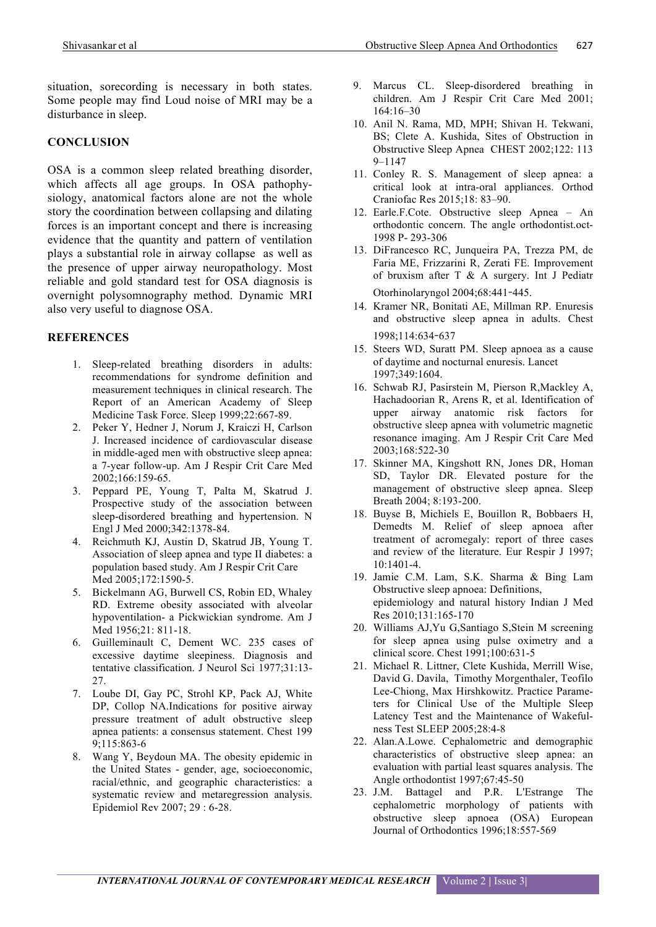situation, sorecording is necessary in both states. Some people may find Loud noise of MRI may be a disturbance in sleep.

#### **CONCLUSION**

OSA is a common sleep related breathing disorder, which affects all age groups. In OSA pathophysiology, anatomical factors alone are not the whole story the coordination between collapsing and dilating forces is an important concept and there is increasing evidence that the quantity and pattern of ventilation plays a substantial role in airway collapse as well as the presence of upper airway neuropathology. Most reliable and gold standard test for OSA diagnosis is overnight polysomnography method. Dynamic MRI also very useful to diagnose OSA.

## **REFERENCES**

- 1. Sleep-related breathing disorders in adults: recommendations for syndrome definition and measurement techniques in clinical research. The Report of an American Academy of Sleep Medicine Task Force. Sleep 1999;22:667-89.
- 2. Peker Y, Hedner J, Norum J, Kraiczi H, Carlson J. Increased incidence of cardiovascular disease in middle-aged men with obstructive sleep apnea: a 7-year follow-up. Am J Respir Crit Care Med 2002;166:159-65.
- 3. Peppard PE, Young T, Palta M, Skatrud J. Prospective study of the association between sleep-disordered breathing and hypertension. N Engl J Med 2000;342:1378-84.
- 4. Reichmuth KJ, Austin D, Skatrud JB, Young T. Association of sleep apnea and type II diabetes: a population based study. Am J Respir Crit Care Med 2005;172:1590-5.
- 5. Bickelmann AG, Burwell CS, Robin ED, Whaley RD. Extreme obesity associated with alveolar hypoventilation- a Pickwickian syndrome. Am J Med 1956;21: 811-18.
- 6. Guilleminault C, Dement WC. 235 cases of excessive daytime sleepiness. Diagnosis and tentative classification. J Neurol Sci 1977;31:13- 27.
- 7. Loube DI, Gay PC, Strohl KP, Pack AJ, White DP, Collop NA.Indications for positive airway pressure treatment of adult obstructive sleep apnea patients: a consensus statement. Chest 199 9;115:863-6
- 8. Wang Y, Beydoun MA. The obesity epidemic in the United States - gender, age, socioeconomic, racial/ethnic, and geographic characteristics: a systematic review and metaregression analysis. Epidemiol Rev 2007; 29 : 6-28.
- 9. Marcus CL. Sleep-disordered breathing in children. Am J Respir Crit Care Med 2001; 164:16–30
- 10. Anil N. Rama, MD, MPH; Shivan H. Tekwani, BS; Clete A. Kushida, Sites of Obstruction in Obstructive Sleep Apnea CHEST 2002;122: 113 9–1147
- 11. Conley R. S. Management of sleep apnea: a critical look at intra-oral appliances. Orthod Craniofac Res 2015;18: 83–90.
- 12. Earle.F.Cote. Obstructive sleep Apnea An orthodontic concern. The angle orthodontist.oct-1998 P- 293-306
- 13. DiFrancesco RC, Junqueira PA, Trezza PM, de Faria ME, Frizzarini R, Zerati FE. Improvement of bruxism after T  $\&$  A surgery. Int J Pediatr Otorhinolaryngol 2004;68:441**-**445.
- 14. Kramer NR, Bonitati AE, Millman RP. Enuresis and obstructive sleep apnea in adults. Chest 1998;114:634**-**637
- 15. Steers WD, Suratt PM. Sleep apnoea as a cause of daytime and nocturnal enuresis. Lancet 1997;349:1604.
- 16. Schwab RJ, Pasirstein M, Pierson R,Mackley A, Hachadoorian R, Arens R, et al. Identification of upper airway anatomic risk factors for obstructive sleep apnea with volumetric magnetic resonance imaging. Am J Respir Crit Care Med 2003;168:522-30
- 17. Skinner MA, Kingshott RN, Jones DR, Homan SD, Taylor DR. Elevated posture for the management of obstructive sleep apnea. Sleep Breath 2004; 8:193-200.
- 18. Buyse B, Michiels E, Bouillon R, Bobbaers H, Demedts M. Relief of sleep apnoea after treatment of acromegaly: report of three cases and review of the literature. Eur Respir J 1997; 10:1401-4.
- 19. Jamie C.M. Lam, S.K. Sharma & Bing Lam Obstructive sleep apnoea: Definitions, epidemiology and natural history Indian J Med Res 2010;131:165-170
- 20. Williams AJ,Yu G,Santiago S,Stein M screening for sleep apnea using pulse oximetry and a clinical score. Chest 1991;100:631-5
- 21. Michael R. Littner, Clete Kushida, Merrill Wise, David G. Davila, Timothy Morgenthaler, Teofilo Lee-Chiong, Max Hirshkowitz. Practice Parameters for Clinical Use of the Multiple Sleep Latency Test and the Maintenance of Wakefulness Test SLEEP 2005;28:4-8
- 22. Alan.A.Lowe. Cephalometric and demographic characteristics of obstructive sleep apnea: an evaluation with partial least squares analysis. The Angle orthodontist 1997;67:45-50
- 23. J.M. Battagel and P.R. L'Estrange The cephalometric morphology of patients with obstructive sleep apnoea (OSA) European Journal of Orthodontics 1996;18:557-569